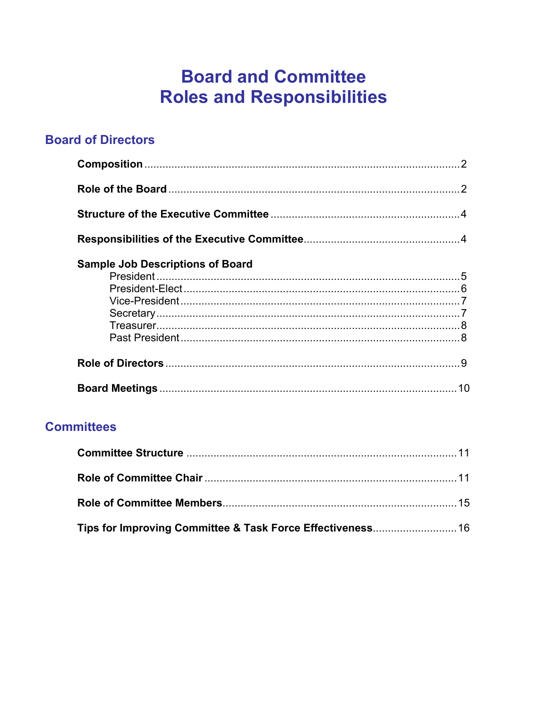# **Board and Committee Roles and Responsibilities**

# <span id="page-0-0"></span>**Board of Directors**

| <b>Sample Job Descriptions of Board</b> |  |
|-----------------------------------------|--|
|                                         |  |
|                                         |  |
|                                         |  |
|                                         |  |
|                                         |  |
|                                         |  |
|                                         |  |
|                                         |  |

# **Committees**

| Tips for Improving Committee & Task Force Effectiveness 16 |  |
|------------------------------------------------------------|--|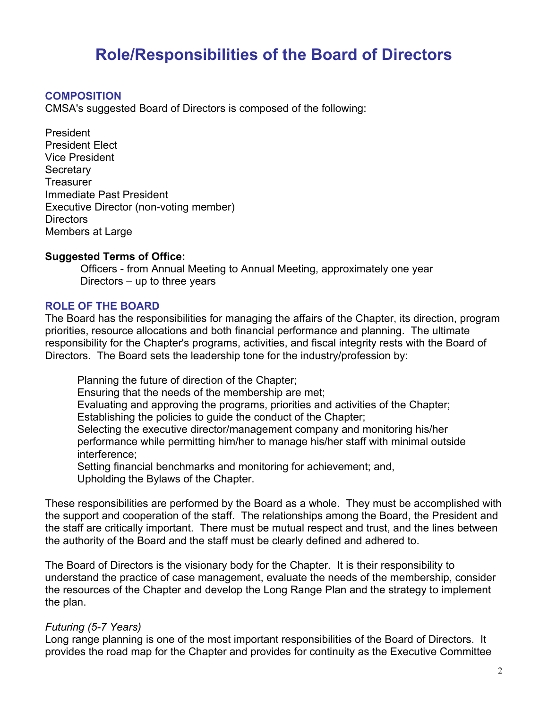# **Role/Responsibilities of the Board of Directors**

#### **COMPOSITION**

CMSA's suggested Board of Directors is composed of the following:

President President Elect Vice President **Secretary Treasurer** Immediate Past President Executive Director (non-voting member) Directors Members at Large

#### **Suggested Terms of Office:**

 Officers - from Annual Meeting to Annual Meeting, approximately one year Directors – up to three years

#### **ROLE OF THE BOARD**

The Board has the responsibilities for managing the affairs of the Chapter, its direction, program priorities, resource allocations and both financial performance and planning. The ultimate responsibility for the Chapter's programs, activities, and fiscal integrity rests with the Board of Directors. The Board sets the leadership tone for the industry/profession by:

 Planning the future of direction of the Chapter; Ensuring that the needs of the membership are met; Evaluating and approving the programs, priorities and activities of the Chapter; Establishing the policies to guide the conduct of the Chapter; Selecting the executive director/management company and monitoring his/her performance while permitting him/her to manage his/her staff with minimal outside interference; Setting financial benchmarks and monitoring for achievement; and, Upholding the Bylaws of the Chapter.

These responsibilities are performed by the Board as a whole. They must be accomplished with the support and cooperation of the staff. The relationships among the Board, the President and the staff are critically important. There must be mutual respect and trust, and the lines between the authority of the Board and the staff must be clearly defined and adhered to.

The Board of Directors is the visionary body for the Chapter. It is their responsibility to understand the practice of case management, evaluate the needs of the membership, consider the resources of the Chapter and develop the Long Range Plan and the strategy to implement the plan.

#### *Futuring (5-7 Years)*

Long range planning is one of the most important responsibilities of the Board of Directors. It provides the road map for the Chapter and provides for continuity as the Executive Committee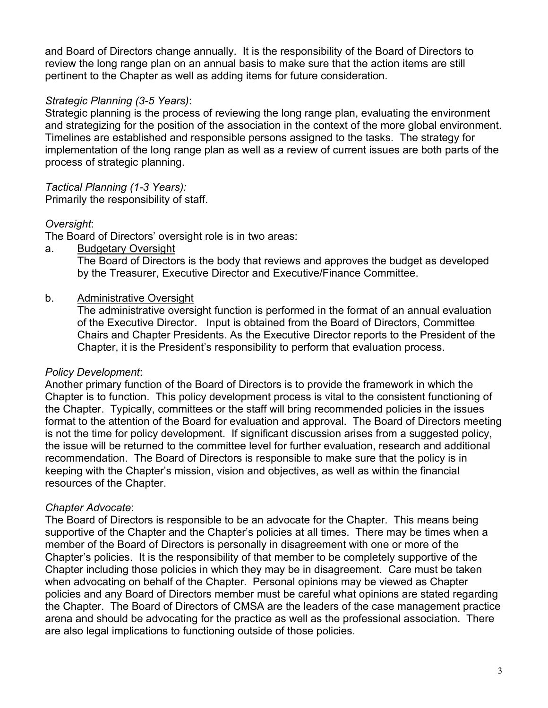and Board of Directors change annually. It is the responsibility of the Board of Directors to review the long range plan on an annual basis to make sure that the action items are still pertinent to the Chapter as well as adding items for future consideration.

# *Strategic Planning (3-5 Years)*:

Strategic planning is the process of reviewing the long range plan, evaluating the environment and strategizing for the position of the association in the context of the more global environment. Timelines are established and responsible persons assigned to the tasks. The strategy for implementation of the long range plan as well as a review of current issues are both parts of the process of strategic planning.

*Tactical Planning (1-3 Years):*

Primarily the responsibility of staff.

# *Oversight*:

The Board of Directors' oversight role is in two areas:

a. Budgetary Oversight

The Board of Directors is the body that reviews and approves the budget as developed by the Treasurer, Executive Director and Executive/Finance Committee.

# b. Administrative Oversight

The administrative oversight function is performed in the format of an annual evaluation of the Executive Director. Input is obtained from the Board of Directors, Committee Chairs and Chapter Presidents. As the Executive Director reports to the President of the Chapter, it is the President's responsibility to perform that evaluation process.

# *Policy Development*:

Another primary function of the Board of Directors is to provide the framework in which the Chapter is to function. This policy development process is vital to the consistent functioning of the Chapter. Typically, committees or the staff will bring recommended policies in the issues format to the attention of the Board for evaluation and approval. The Board of Directors meeting is not the time for policy development. If significant discussion arises from a suggested policy, the issue will be returned to the committee level for further evaluation, research and additional recommendation. The Board of Directors is responsible to make sure that the policy is in keeping with the Chapter's mission, vision and objectives, as well as within the financial resources of the Chapter.

# *Chapter Advocate*:

The Board of Directors is responsible to be an advocate for the Chapter. This means being supportive of the Chapter and the Chapter's policies at all times. There may be times when a member of the Board of Directors is personally in disagreement with one or more of the Chapter's policies. It is the responsibility of that member to be completely supportive of the Chapter including those policies in which they may be in disagreement. Care must be taken when advocating on behalf of the Chapter. Personal opinions may be viewed as Chapter policies and any Board of Directors member must be careful what opinions are stated regarding the Chapter. The Board of Directors of CMSA are the leaders of the case management practice arena and should be advocating for the practice as well as the professional association. There are also legal implications to functioning outside of those policies.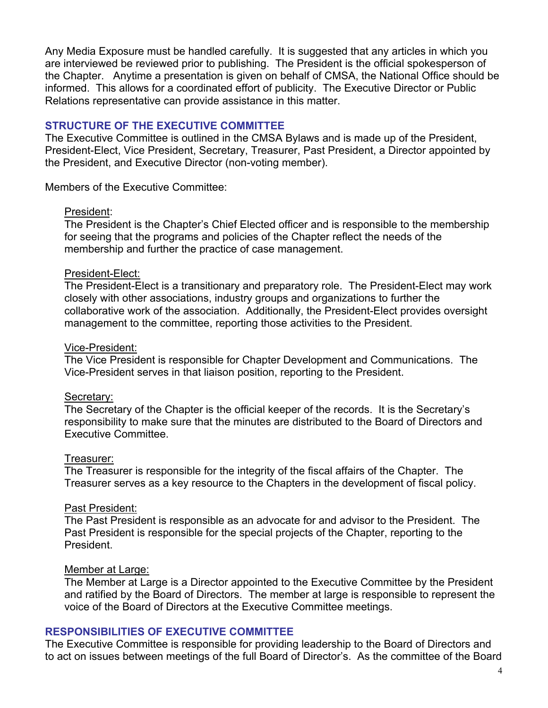<span id="page-3-0"></span>Any Media Exposure must be handled carefully. It is suggested that any articles in which you are interviewed be reviewed prior to publishing. The President is the official spokesperson of the Chapter. Anytime a presentation is given on behalf of CMSA, the National Office should be informed. This allows for a coordinated effort of publicity. The Executive Director or Public Relations representative can provide assistance in this matter.

#### **STRUCTURE OF THE EXECUTIVE COMMITTEE**

The Executive Committee is outlined in the CMSA Bylaws and is made up of the President, President-Elect, Vice President, Secretary, Treasurer, Past President, a Director appointed by the President, and Executive Director (non-voting member).

Members of the Executive Committee:

#### President:

The President is the Chapter's Chief Elected officer and is responsible to the membership for seeing that the programs and policies of the Chapter reflect the needs of the membership and further the practice of case management.

#### President-Elect:

The President-Elect is a transitionary and preparatory role. The President-Elect may work closely with other associations, industry groups and organizations to further the collaborative work of the association. Additionally, the President-Elect provides oversight management to the committee, reporting those activities to the President.

#### Vice-President:

The Vice President is responsible for Chapter Development and Communications. The Vice-President serves in that liaison position, reporting to the President.

#### Secretary:

The Secretary of the Chapter is the official keeper of the records. It is the Secretary's responsibility to make sure that the minutes are distributed to the Board of Directors and Executive Committee.

#### Treasurer:

The Treasurer is responsible for the integrity of the fiscal affairs of the Chapter. The Treasurer serves as a key resource to the Chapters in the development of fiscal policy.

#### Past President:

The Past President is responsible as an advocate for and advisor to the President. The Past President is responsible for the special projects of the Chapter, reporting to the President.

#### Member at Large:

The Member at Large is a Director appointed to the Executive Committee by the President and ratified by the Board of Directors. The member at large is responsible to represent the voice of the Board of Directors at the Executive Committee meetings.

#### **RESPONSIBILITIES OF EXECUTIVE COMMITTEE**

The Executive Committee is responsible for providing leadership to the Board of Directors and to act on issues between meetings of the full Board of Director's. As the committee of the Board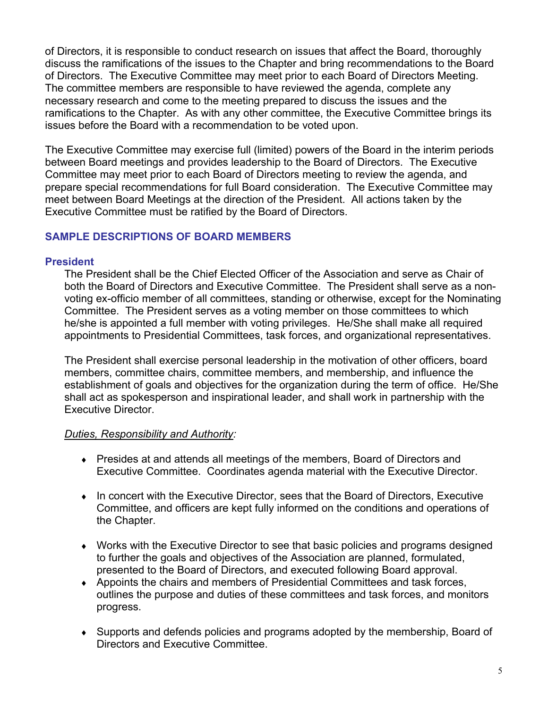<span id="page-4-0"></span>of Directors, it is responsible to conduct research on issues that affect the Board, thoroughly discuss the ramifications of the issues to the Chapter and bring recommendations to the Board of Directors. The Executive Committee may meet prior to each Board of Directors Meeting. The committee members are responsible to have reviewed the agenda, complete any necessary research and come to the meeting prepared to discuss the issues and the ramifications to the Chapter. As with any other committee, the Executive Committee brings its issues before the Board with a recommendation to be voted upon.

The Executive Committee may exercise full (limited) powers of the Board in the interim periods between Board meetings and provides leadership to the Board of Directors. The Executive Committee may meet prior to each Board of Directors meeting to review the agenda, and prepare special recommendations for full Board consideration. The Executive Committee may meet between Board Meetings at the direction of the President. All actions taken by the Executive Committee must be ratified by the Board of Directors.

## **SAMPLE DESCRIPTIONS OF BOARD MEMBERS**

#### **President**

The President shall be the Chief Elected Officer of the Association and serve as Chair of both the Board of Directors and Executive Committee. The President shall serve as a nonvoting ex-officio member of all committees, standing or otherwise, except for the Nominating Committee. The President serves as a voting member on those committees to which he/she is appointed a full member with voting privileges. He/She shall make all required appointments to Presidential Committees, task forces, and organizational representatives.

The President shall exercise personal leadership in the motivation of other officers, board members, committee chairs, committee members, and membership, and influence the establishment of goals and objectives for the organization during the term of office. He/She shall act as spokesperson and inspirational leader, and shall work in partnership with the Executive Director.

#### *Duties, Responsibility and Authority:*

- ♦ Presides at and attends all meetings of the members, Board of Directors and Executive Committee. Coordinates agenda material with the Executive Director.
- ♦ In concert with the Executive Director, sees that the Board of Directors, Executive Committee, and officers are kept fully informed on the conditions and operations of the Chapter.
- ♦ Works with the Executive Director to see that basic policies and programs designed to further the goals and objectives of the Association are planned, formulated, presented to the Board of Directors, and executed following Board approval.
- ♦ Appoints the chairs and members of Presidential Committees and task forces, outlines the purpose and duties of these committees and task forces, and monitors progress.
- ♦ Supports and defends policies and programs adopted by the membership, Board of Directors and Executive Committee.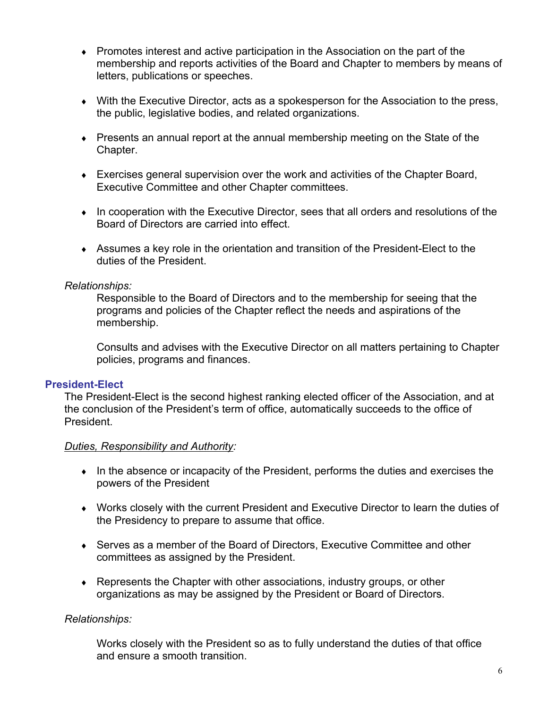- <span id="page-5-0"></span> $\bullet$  Promotes interest and active participation in the Association on the part of the membership and reports activities of the Board and Chapter to members by means of letters, publications or speeches.
- $\bullet$  With the Executive Director, acts as a spokesperson for the Association to the press, the public, legislative bodies, and related organizations.
- ♦ Presents an annual report at the annual membership meeting on the State of the Chapter.
- ♦ Exercises general supervision over the work and activities of the Chapter Board, Executive Committee and other Chapter committees.
- ♦ In cooperation with the Executive Director, sees that all orders and resolutions of the Board of Directors are carried into effect.
- ♦ Assumes a key role in the orientation and transition of the President-Elect to the duties of the President.

#### *Relationships:*

 Responsible to the Board of Directors and to the membership for seeing that the programs and policies of the Chapter reflect the needs and aspirations of the membership.

 Consults and advises with the Executive Director on all matters pertaining to Chapter policies, programs and finances.

#### **President-Elect**

The President-Elect is the second highest ranking elected officer of the Association, and at the conclusion of the President's term of office, automatically succeeds to the office of President.

#### *Duties, Responsibility and Authority:*

- ♦ In the absence or incapacity of the President, performs the duties and exercises the powers of the President
- ♦ Works closely with the current President and Executive Director to learn the duties of the Presidency to prepare to assume that office.
- ♦ Serves as a member of the Board of Directors, Executive Committee and other committees as assigned by the President.
- $\bullet$  Represents the Chapter with other associations, industry groups, or other organizations as may be assigned by the President or Board of Directors.

#### *Relationships:*

 Works closely with the President so as to fully understand the duties of that office and ensure a smooth transition.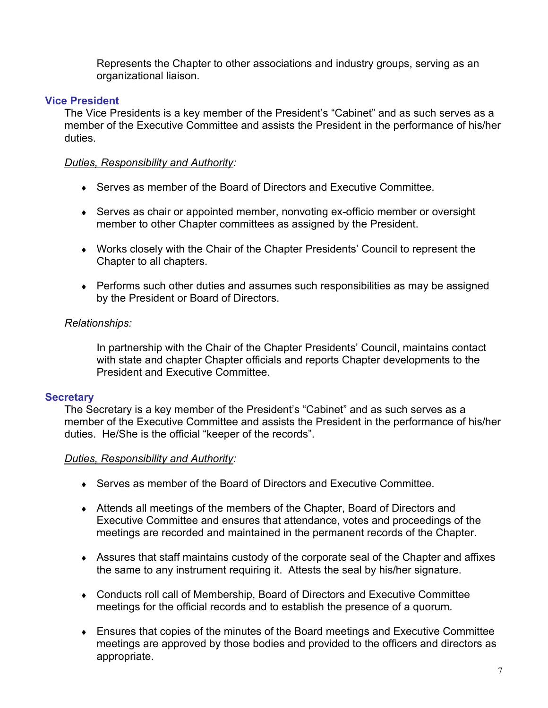Represents the Chapter to other associations and industry groups, serving as an organizational liaison.

#### <span id="page-6-0"></span>**Vice President**

The Vice Presidents is a key member of the President's "Cabinet" and as such serves as a member of the Executive Committee and assists the President in the performance of his/her duties.

#### *Duties, Responsibility and Authority:*

- ◆ Serves as member of the Board of Directors and Executive Committee.
- ♦ Serves as chair or appointed member, nonvoting ex-officio member or oversight member to other Chapter committees as assigned by the President.
- ♦ Works closely with the Chair of the Chapter Presidents' Council to represent the Chapter to all chapters.
- ♦ Performs such other duties and assumes such responsibilities as may be assigned by the President or Board of Directors.

## *Relationships:*

 In partnership with the Chair of the Chapter Presidents' Council, maintains contact with state and chapter Chapter officials and reports Chapter developments to the President and Executive Committee.

# **Secretary**

The Secretary is a key member of the President's "Cabinet" and as such serves as a member of the Executive Committee and assists the President in the performance of his/her duties. He/She is the official "keeper of the records".

#### *Duties, Responsibility and Authority:*

- Serves as member of the Board of Directors and Executive Committee.
- ♦ Attends all meetings of the members of the Chapter, Board of Directors and Executive Committee and ensures that attendance, votes and proceedings of the meetings are recorded and maintained in the permanent records of the Chapter.
- ♦ Assures that staff maintains custody of the corporate seal of the Chapter and affixes the same to any instrument requiring it. Attests the seal by his/her signature.
- ♦ Conducts roll call of Membership, Board of Directors and Executive Committee meetings for the official records and to establish the presence of a quorum.
- ♦ Ensures that copies of the minutes of the Board meetings and Executive Committee meetings are approved by those bodies and provided to the officers and directors as appropriate.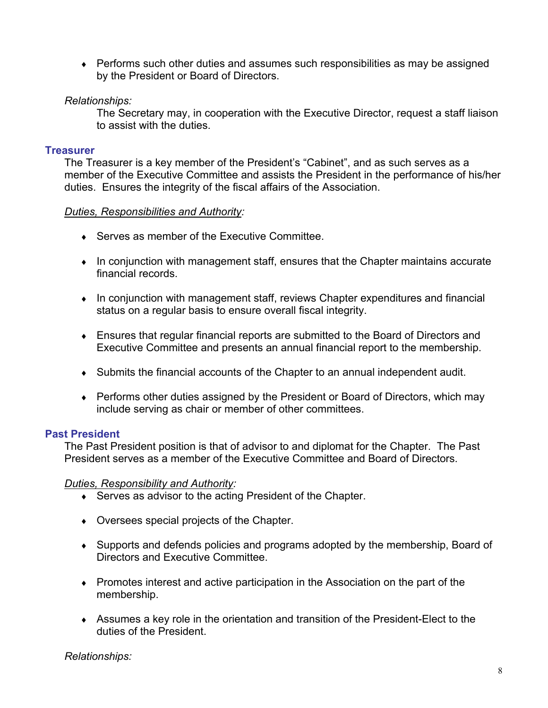<span id="page-7-0"></span>♦ Performs such other duties and assumes such responsibilities as may be assigned by the President or Board of Directors.

## *Relationships:*

 The Secretary may, in cooperation with the Executive Director, request a staff liaison to assist with the duties.

#### **Treasurer**

The Treasurer is a key member of the President's "Cabinet", and as such serves as a member of the Executive Committee and assists the President in the performance of his/her duties. Ensures the integrity of the fiscal affairs of the Association.

#### *Duties, Responsibilities and Authority:*

- ♦ Serves as member of the Executive Committee.
- ♦ In conjunction with management staff, ensures that the Chapter maintains accurate financial records.
- ♦ In conjunction with management staff, reviews Chapter expenditures and financial status on a regular basis to ensure overall fiscal integrity.
- ♦ Ensures that regular financial reports are submitted to the Board of Directors and Executive Committee and presents an annual financial report to the membership.
- ♦ Submits the financial accounts of the Chapter to an annual independent audit.
- ♦ Performs other duties assigned by the President or Board of Directors, which may include serving as chair or member of other committees.

#### **Past President**

The Past President position is that of advisor to and diplomat for the Chapter. The Past President serves as a member of the Executive Committee and Board of Directors.

#### *Duties, Responsibility and Authority:*

- ♦ Serves as advisor to the acting President of the Chapter.
- ♦ Oversees special projects of the Chapter.
- ♦ Supports and defends policies and programs adopted by the membership, Board of Directors and Executive Committee.
- ♦ Promotes interest and active participation in the Association on the part of the membership.
- ♦ Assumes a key role in the orientation and transition of the President-Elect to the duties of the President.

*Relationships:*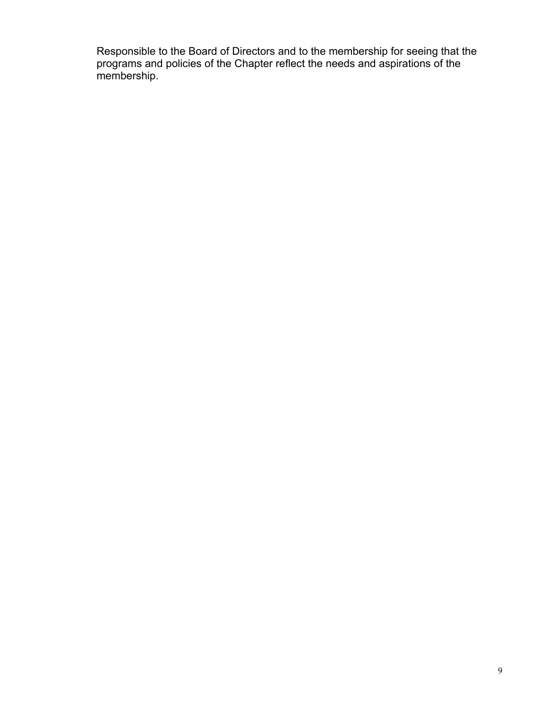<span id="page-8-0"></span> Responsible to the Board of Directors and to the membership for seeing that the programs and policies of the Chapter reflect the needs and aspirations of the membership.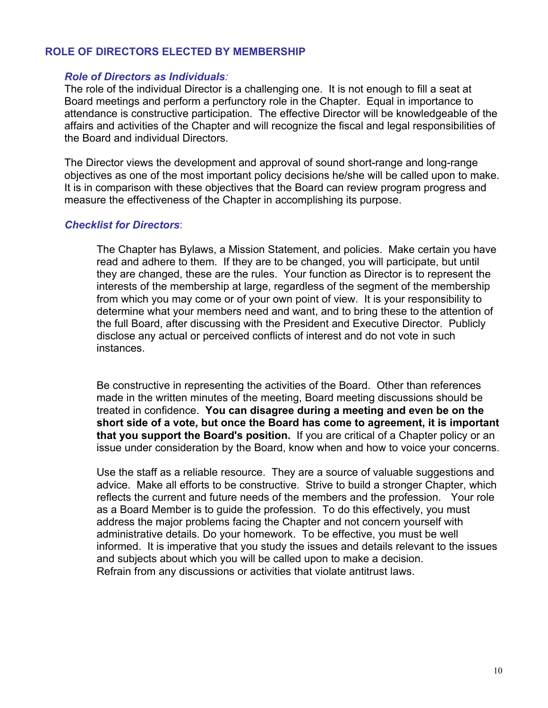#### <span id="page-9-0"></span>**ROLE OF DIRECTORS ELECTED BY MEMBERSHIP**

#### *Role of Directors as Individuals:*

The role of the individual Director is a challenging one. It is not enough to fill a seat at Board meetings and perform a perfunctory role in the Chapter. Equal in importance to attendance is constructive participation. The effective Director will be knowledgeable of the affairs and activities of the Chapter and will recognize the fiscal and legal responsibilities of the Board and individual Directors.

The Director views the development and approval of sound short-range and long-range objectives as one of the most important policy decisions he/she will be called upon to make. It is in comparison with these objectives that the Board can review program progress and measure the effectiveness of the Chapter in accomplishing its purpose.

#### *Checklist for Directors*:

 The Chapter has Bylaws, a Mission Statement, and policies. Make certain you have read and adhere to them. If they are to be changed, you will participate, but until they are changed, these are the rules. Your function as Director is to represent the interests of the membership at large, regardless of the segment of the membership from which you may come or of your own point of view. It is your responsibility to determine what your members need and want, and to bring these to the attention of the full Board, after discussing with the President and Executive Director. Publicly disclose any actual or perceived conflicts of interest and do not vote in such instances.

Be constructive in representing the activities of the Board. Other than references made in the written minutes of the meeting, Board meeting discussions should be treated in confidence. **You can disagree during a meeting and even be on the short side of a vote, but once the Board has come to agreement, it is important that you support the Board's position.** If you are critical of a Chapter policy or an issue under consideration by the Board, know when and how to voice your concerns.

 Use the staff as a reliable resource. They are a source of valuable suggestions and advice. Make all efforts to be constructive. Strive to build a stronger Chapter, which reflects the current and future needs of the members and the profession. Your role as a Board Member is to guide the profession. To do this effectively, you must address the major problems facing the Chapter and not concern yourself with administrative details. Do your homework. To be effective, you must be well informed. It is imperative that you study the issues and details relevant to the issues and subjects about which you will be called upon to make a decision. Refrain from any discussions or activities that violate antitrust laws.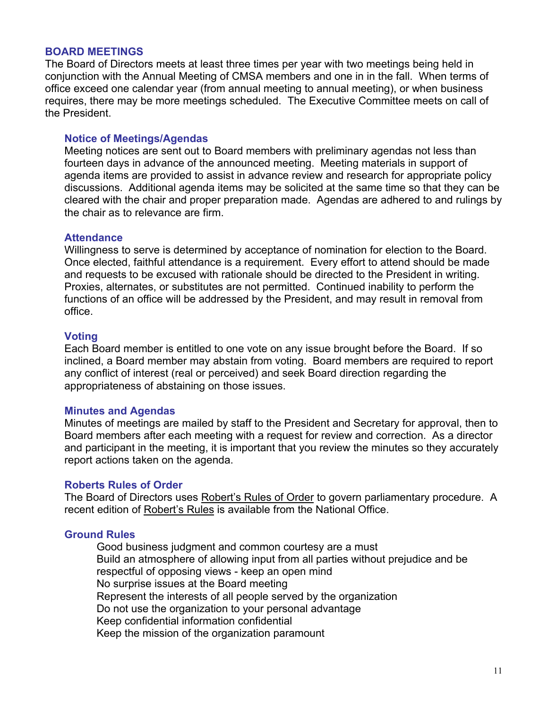#### **BOARD MEETINGS**

The Board of Directors meets at least three times per year with two meetings being held in conjunction with the Annual Meeting of CMSA members and one in in the fall. When terms of office exceed one calendar year (from annual meeting to annual meeting), or when business requires, there may be more meetings scheduled. The Executive Committee meets on call of the President.

#### **Notice of Meetings/Agendas**

Meeting notices are sent out to Board members with preliminary agendas not less than fourteen days in advance of the announced meeting. Meeting materials in support of agenda items are provided to assist in advance review and research for appropriate policy discussions. Additional agenda items may be solicited at the same time so that they can be cleared with the chair and proper preparation made. Agendas are adhered to and rulings by the chair as to relevance are firm.

#### **Attendance**

Willingness to serve is determined by acceptance of nomination for election to the Board. Once elected, faithful attendance is a requirement. Every effort to attend should be made and requests to be excused with rationale should be directed to the President in writing. Proxies, alternates, or substitutes are not permitted. Continued inability to perform the functions of an office will be addressed by the President, and may result in removal from office.

#### **Voting**

Each Board member is entitled to one vote on any issue brought before the Board. If so inclined, a Board member may abstain from voting. Board members are required to report any conflict of interest (real or perceived) and seek Board direction regarding the appropriateness of abstaining on those issues.

#### **Minutes and Agendas**

Minutes of meetings are mailed by staff to the President and Secretary for approval, then to Board members after each meeting with a request for review and correction. As a director and participant in the meeting, it is important that you review the minutes so they accurately report actions taken on the agenda.

#### **Roberts Rules of Order**

The Board of Directors uses Robert's Rules of Order to govern parliamentary procedure.A recent edition of Robert's Rules is available from the National Office.

#### **Ground Rules**

 Good business judgment and common courtesy are a must Build an atmosphere of allowing input from all parties without prejudice and be respectful of opposing views - keep an open mind No surprise issues at the Board meeting Represent the interests of all people served by the organization Do not use the organization to your personal advantage Keep confidential information confidential Keep the mission of the organization paramount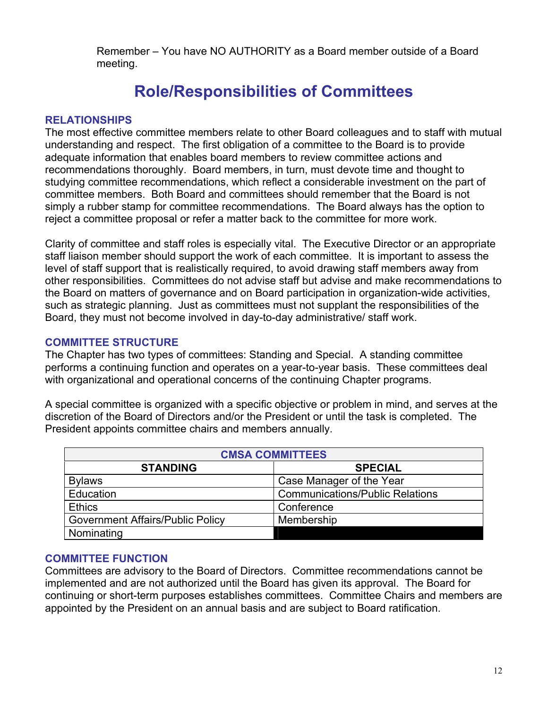<span id="page-11-0"></span> Remember – You have NO AUTHORITY as a Board member outside of a Board meeting.

# **Role/Responsibilities of Committees**

#### **RELATIONSHIPS**

The most effective committee members relate to other Board colleagues and to staff with mutual understanding and respect. The first obligation of a committee to the Board is to provide adequate information that enables board members to review committee actions and recommendations thoroughly. Board members, in turn, must devote time and thought to studying committee recommendations, which reflect a considerable investment on the part of committee members. Both Board and committees should remember that the Board is not simply a rubber stamp for committee recommendations. The Board always has the option to reject a committee proposal or refer a matter back to the committee for more work.

Clarity of committee and staff roles is especially vital. The Executive Director or an appropriate staff liaison member should support the work of each committee. It is important to assess the level of staff support that is realistically required, to avoid drawing staff members away from other responsibilities. Committees do not advise staff but advise and make recommendations to the Board on matters of governance and on Board participation in organization-wide activities, such as strategic planning. Just as committees must not supplant the responsibilities of the Board, they must not become involved in day-to-day administrative/ staff work.

#### **COMMITTEE STRUCTURE**

The Chapter has two types of committees: Standing and Special. A standing committee performs a continuing function and operates on a year-to-year basis. These committees deal with organizational and operational concerns of the continuing Chapter programs.

A special committee is organized with a specific objective or problem in mind, and serves at the discretion of the Board of Directors and/or the President or until the task is completed. The President appoints committee chairs and members annually.

| <b>CMSA COMMITTEES</b>                  |                                        |  |
|-----------------------------------------|----------------------------------------|--|
| <b>STANDING</b>                         | <b>SPECIAL</b>                         |  |
| <b>Bylaws</b>                           | Case Manager of the Year               |  |
| Education                               | <b>Communications/Public Relations</b> |  |
| <b>Ethics</b>                           | Conference                             |  |
| <b>Government Affairs/Public Policy</b> | Membership                             |  |
| Nominating                              |                                        |  |

#### **COMMITTEE FUNCTION**

Committees are advisory to the Board of Directors. Committee recommendations cannot be implemented and are not authorized until the Board has given its approval. The Board for continuing or short-term purposes establishes committees. Committee Chairs and members are appointed by the President on an annual basis and are subject to Board ratification.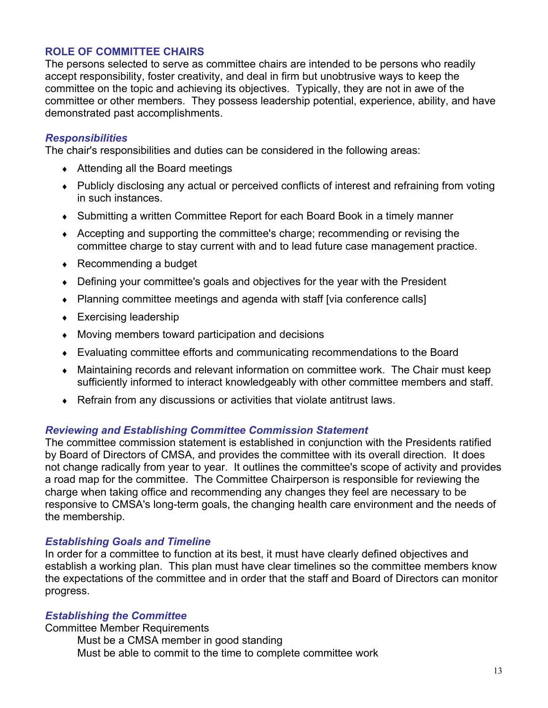# <span id="page-12-0"></span>**ROLE OF COMMITTEE CHAIRS**

The persons selected to serve as committee chairs are intended to be persons who readily accept responsibility, foster creativity, and deal in firm but unobtrusive ways to keep the committee on the topic and achieving its objectives. Typically, they are not in awe of the committee or other members. They possess leadership potential, experience, ability, and have demonstrated past accomplishments.

#### *Responsibilities*

The chair's responsibilities and duties can be considered in the following areas:

- $\triangleleft$  Attending all the Board meetings
- Publicly disclosing any actual or perceived conflicts of interest and refraining from voting in such instances.
- ♦ Submitting a written Committee Report for each Board Book in a timely manner
- ♦ Accepting and supporting the committee's charge; recommending or revising the committee charge to stay current with and to lead future case management practice.
- $\leftarrow$  Recommending a budget
- ♦ Defining your committee's goals and objectives for the year with the President
- Planning committee meetings and agenda with staff [via conference calls]
- $\leftarrow$  Exercising leadership
- ♦ Moving members toward participation and decisions
- ♦ Evaluating committee efforts and communicating recommendations to the Board
- ♦ Maintaining records and relevant information on committee work. The Chair must keep sufficiently informed to interact knowledgeably with other committee members and staff.
- ♦ Refrain from any discussions or activities that violate antitrust laws.

#### *Reviewing and Establishing Committee Commission Statement*

The committee commission statement is established in conjunction with the Presidents ratified by Board of Directors of CMSA, and provides the committee with its overall direction. It does not change radically from year to year. It outlines the committee's scope of activity and provides a road map for the committee. The Committee Chairperson is responsible for reviewing the charge when taking office and recommending any changes they feel are necessary to be responsive to CMSA's long-term goals, the changing health care environment and the needs of the membership.

#### *Establishing Goals and Timeline*

In order for a committee to function at its best, it must have clearly defined objectives and establish a working plan. This plan must have clear timelines so the committee members know the expectations of the committee and in order that the staff and Board of Directors can monitor progress.

#### *Establishing the Committee*

Committee Member Requirements

 Must be a CMSA member in good standing Must be able to commit to the time to complete committee work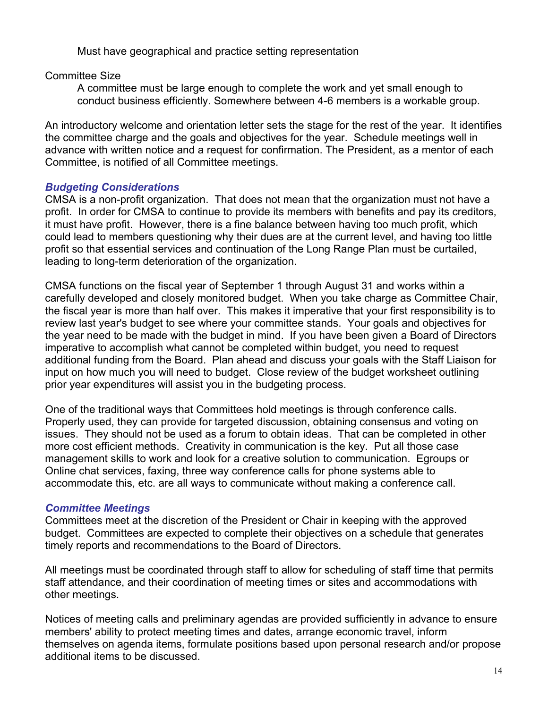Must have geographical and practice setting representation

Committee Size

 A committee must be large enough to complete the work and yet small enough to conduct business efficiently. Somewhere between 4-6 members is a workable group.

An introductory welcome and orientation letter sets the stage for the rest of the year. It identifies the committee charge and the goals and objectives for the year. Schedule meetings well in advance with written notice and a request for confirmation. The President, as a mentor of each Committee, is notified of all Committee meetings.

# *Budgeting Considerations*

CMSA is a non-profit organization. That does not mean that the organization must not have a profit. In order for CMSA to continue to provide its members with benefits and pay its creditors, it must have profit. However, there is a fine balance between having too much profit, which could lead to members questioning why their dues are at the current level, and having too little profit so that essential services and continuation of the Long Range Plan must be curtailed, leading to long-term deterioration of the organization.

CMSA functions on the fiscal year of September 1 through August 31 and works within a carefully developed and closely monitored budget. When you take charge as Committee Chair, the fiscal year is more than half over. This makes it imperative that your first responsibility is to review last year's budget to see where your committee stands. Your goals and objectives for the year need to be made with the budget in mind. If you have been given a Board of Directors imperative to accomplish what cannot be completed within budget, you need to request additional funding from the Board. Plan ahead and discuss your goals with the Staff Liaison for input on how much you will need to budget. Close review of the budget worksheet outlining prior year expenditures will assist you in the budgeting process.

One of the traditional ways that Committees hold meetings is through conference calls. Properly used, they can provide for targeted discussion, obtaining consensus and voting on issues. They should not be used as a forum to obtain ideas. That can be completed in other more cost efficient methods. Creativity in communication is the key. Put all those case management skills to work and look for a creative solution to communication. Egroups or Online chat services, faxing, three way conference calls for phone systems able to accommodate this, etc. are all ways to communicate without making a conference call.

# *Committee Meetings*

Committees meet at the discretion of the President or Chair in keeping with the approved budget. Committees are expected to complete their objectives on a schedule that generates timely reports and recommendations to the Board of Directors.

All meetings must be coordinated through staff to allow for scheduling of staff time that permits staff attendance, and their coordination of meeting times or sites and accommodations with other meetings.

Notices of meeting calls and preliminary agendas are provided sufficiently in advance to ensure members' ability to protect meeting times and dates, arrange economic travel, inform themselves on agenda items, formulate positions based upon personal research and/or propose additional items to be discussed.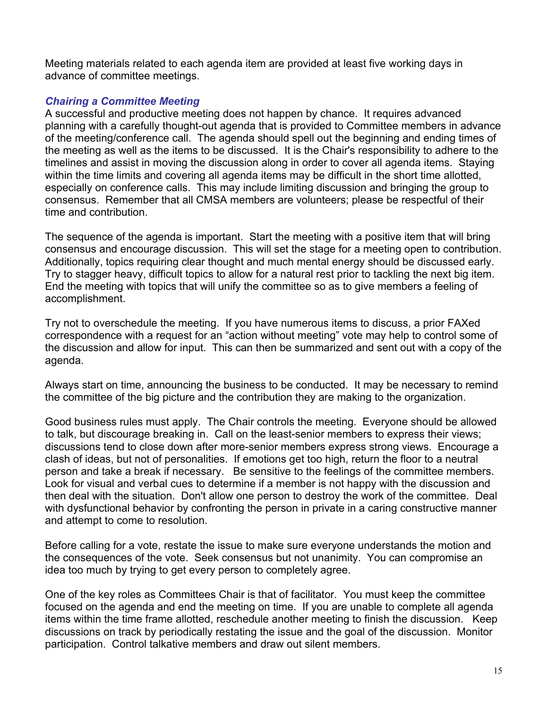Meeting materials related to each agenda item are provided at least five working days in advance of committee meetings.

# *Chairing a Committee Meeting*

A successful and productive meeting does not happen by chance. It requires advanced planning with a carefully thought-out agenda that is provided to Committee members in advance of the meeting/conference call. The agenda should spell out the beginning and ending times of the meeting as well as the items to be discussed. It is the Chair's responsibility to adhere to the timelines and assist in moving the discussion along in order to cover all agenda items. Staying within the time limits and covering all agenda items may be difficult in the short time allotted, especially on conference calls. This may include limiting discussion and bringing the group to consensus. Remember that all CMSA members are volunteers; please be respectful of their time and contribution.

The sequence of the agenda is important. Start the meeting with a positive item that will bring consensus and encourage discussion. This will set the stage for a meeting open to contribution. Additionally, topics requiring clear thought and much mental energy should be discussed early. Try to stagger heavy, difficult topics to allow for a natural rest prior to tackling the next big item. End the meeting with topics that will unify the committee so as to give members a feeling of accomplishment.

Try not to overschedule the meeting. If you have numerous items to discuss, a prior FAXed correspondence with a request for an "action without meeting" vote may help to control some of the discussion and allow for input. This can then be summarized and sent out with a copy of the agenda.

Always start on time, announcing the business to be conducted. It may be necessary to remind the committee of the big picture and the contribution they are making to the organization.

Good business rules must apply. The Chair controls the meeting. Everyone should be allowed to talk, but discourage breaking in. Call on the least-senior members to express their views; discussions tend to close down after more-senior members express strong views. Encourage a clash of ideas, but not of personalities. If emotions get too high, return the floor to a neutral person and take a break if necessary. Be sensitive to the feelings of the committee members. Look for visual and verbal cues to determine if a member is not happy with the discussion and then deal with the situation. Don't allow one person to destroy the work of the committee. Deal with dysfunctional behavior by confronting the person in private in a caring constructive manner and attempt to come to resolution.

Before calling for a vote, restate the issue to make sure everyone understands the motion and the consequences of the vote. Seek consensus but not unanimity. You can compromise an idea too much by trying to get every person to completely agree.

One of the key roles as Committees Chair is that of facilitator. You must keep the committee focused on the agenda and end the meeting on time. If you are unable to complete all agenda items within the time frame allotted, reschedule another meeting to finish the discussion. Keep discussions on track by periodically restating the issue and the goal of the discussion. Monitor participation. Control talkative members and draw out silent members.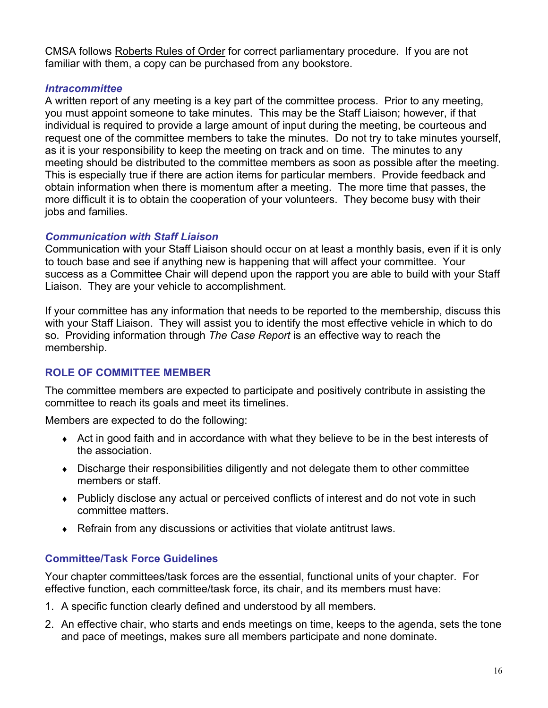<span id="page-15-0"></span>CMSA follows Roberts Rules of Order for correct parliamentary procedure. If you are not familiar with them, a copy can be purchased from any bookstore.

# *Intracommittee*

A written report of any meeting is a key part of the committee process. Prior to any meeting, you must appoint someone to take minutes. This may be the Staff Liaison; however, if that individual is required to provide a large amount of input during the meeting, be courteous and request one of the committee members to take the minutes. Do not try to take minutes yourself, as it is your responsibility to keep the meeting on track and on time. The minutes to any meeting should be distributed to the committee members as soon as possible after the meeting. This is especially true if there are action items for particular members. Provide feedback and obtain information when there is momentum after a meeting. The more time that passes, the more difficult it is to obtain the cooperation of your volunteers. They become busy with their jobs and families.

## *Communication with Staff Liaison*

Communication with your Staff Liaison should occur on at least a monthly basis, even if it is only to touch base and see if anything new is happening that will affect your committee. Your success as a Committee Chair will depend upon the rapport you are able to build with your Staff Liaison. They are your vehicle to accomplishment.

If your committee has any information that needs to be reported to the membership, discuss this with your Staff Liaison. They will assist you to identify the most effective vehicle in which to do so. Providing information through *The Case Report* is an effective way to reach the membership.

# **ROLE OF COMMITTEE MEMBER**

The committee members are expected to participate and positively contribute in assisting the committee to reach its goals and meet its timelines.

Members are expected to do the following:

- ♦ Act in good faith and in accordance with what they believe to be in the best interests of the association.
- ♦ Discharge their responsibilities diligently and not delegate them to other committee members or staff.
- ♦ Publicly disclose any actual or perceived conflicts of interest and do not vote in such committee matters.
- ♦ Refrain from any discussions or activities that violate antitrust laws.

# **Committee/Task Force Guidelines**

Your chapter committees/task forces are the essential, functional units of your chapter. For effective function, each committee/task force, its chair, and its members must have:

- 1. A specific function clearly defined and understood by all members.
- 2. An effective chair, who starts and ends meetings on time, keeps to the agenda, sets the tone and pace of meetings, makes sure all members participate and none dominate.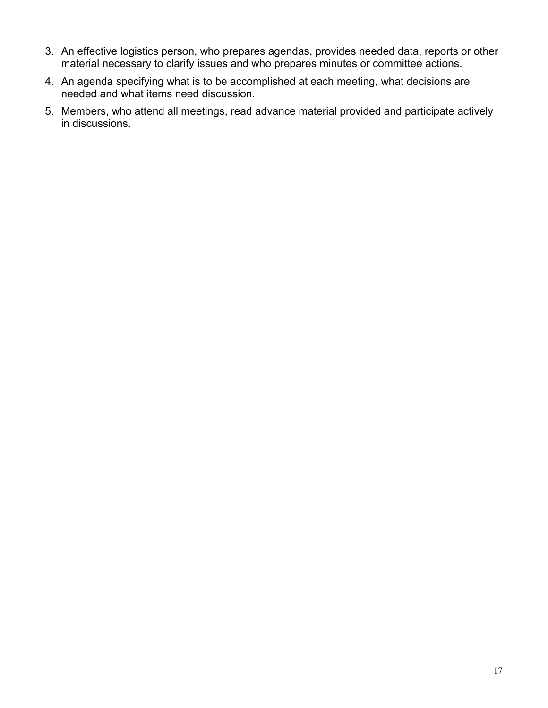- 3. An effective logistics person, who prepares agendas, provides needed data, reports or other material necessary to clarify issues and who prepares minutes or committee actions.
- 4. An agenda specifying what is to be accomplished at each meeting, what decisions are needed and what items need discussion.
- 5. Members, who attend all meetings, read advance material provided and participate actively in discussions.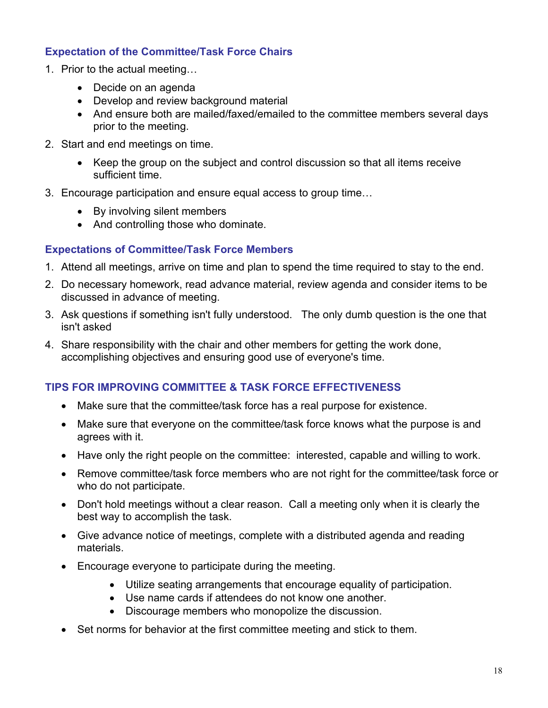# <span id="page-17-0"></span>**Expectation of the Committee/Task Force Chairs**

- 1. Prior to the actual meeting…
	- Decide on an agenda
	- Develop and review background material
	- And ensure both are mailed/faxed/emailed to the committee members several days prior to the meeting.
- 2. Start and end meetings on time.
	- Keep the group on the subject and control discussion so that all items receive sufficient time.
- 3. Encourage participation and ensure equal access to group time…
	- By involving silent members
	- And controlling those who dominate.

# **Expectations of Committee/Task Force Members**

- 1. Attend all meetings, arrive on time and plan to spend the time required to stay to the end.
- 2. Do necessary homework, read advance material, review agenda and consider items to be discussed in advance of meeting.
- 3. Ask questions if something isn't fully understood. The only dumb question is the one that isn't asked
- 4. Share responsibility with the chair and other members for getting the work done, accomplishing objectives and ensuring good use of everyone's time.

# **TIPS FOR IMPROVING COMMITTEE & TASK FORCE EFFECTIVENESS**

- Make sure that the committee/task force has a real purpose for existence.
- Make sure that everyone on the committee/task force knows what the purpose is and agrees with it.
- Have only the right people on the committee: interested, capable and willing to work.
- Remove committee/task force members who are not right for the committee/task force or who do not participate.
- Don't hold meetings without a clear reason. Call a meeting only when it is clearly the best way to accomplish the task.
- Give advance notice of meetings, complete with a distributed agenda and reading materials.
- Encourage everyone to participate during the meeting.
	- Utilize seating arrangements that encourage equality of participation.
	- Use name cards if attendees do not know one another.
	- Discourage members who monopolize the discussion.
- Set norms for behavior at the first committee meeting and stick to them.